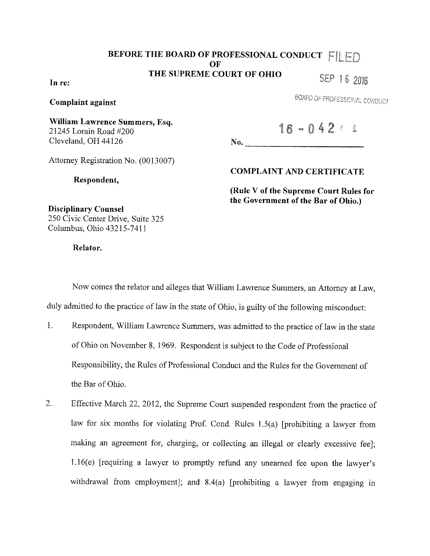# **BEFORE THE BOARD OF PROFESSIONAL CONDUCT FILED OF THE SUPREME COURT OF OHIO**  SEP 16 2016

**In re:** 

**Complaint against** 

BOARD OF PROFESSIONAL CONDUCT

**William Lawrence Summers, Esq.**  21245 Lorain Road #200 Cleveland, OH 44126

 $16 - 042 = 3$ 

No.

Attorney Registration No. (0013007)

**Respondent,** 

**COMPLAINT AND CERTIFICATE** 

**(Rule V of the Supreme Court Rules for the Government of the Bar of Ohio.)** 

**Disciplinary Counsel**  250 Civic Center Drive, Suite 325 Columbus, Ohio 43215-7411

**Relator.** 

Now comes the relator and alleges that William Lawrence Summers, an Attorney at Law, duly admitted to the practice of law in the state of Ohio, is guilty of the following misconduct:

- 1. Respondent, William Lawrence Summers, was admitted to the practice of law in the state of Ohio on November 8, l 969. Respondent is subject to the Code of Professional Responsibility, the Rules of Professional Conduct and the Rules for the Government of the Bar of Ohio.
- 2. Effective March 22, 2012, the Supreme Court suspended respondent from the practice of law for six months for violating Prof. Cond. Rules 1.5(a) [prohibiting a lawyer from making an agreement for, charging, or collecting an illegal or clearly excessive fee]; 1.16(e) [requiring a lawyer to promptly refund any unearned fee upon the lawyer's withdrawal from employment]; and 8.4(a) [prohibiting a lawyer from engaging in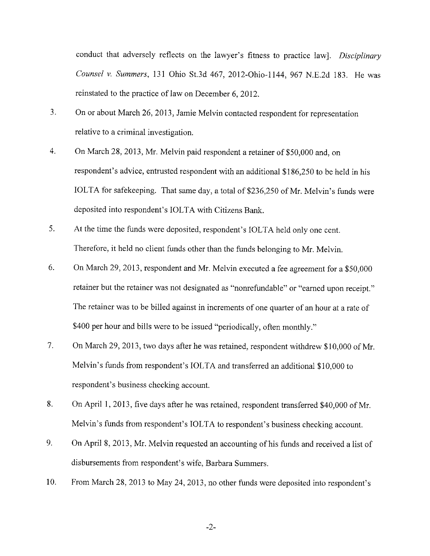conduct that adversely reflects on the lawyer's fitness to practice law]. *Disciplinary Counsel v. Summers,* 131 Ohio St.3d 467, 2012-0hio-1144, 967 N.E.2d 183. He was reinstated to the practice of law on December 6, 2012.

- 3. On or about March 26, 2013, Jamie Melvin contacted respondent for representation relative to a criminal investigation.
- 4. On March 28, 2013, Mr. Melvin paid respondent a retainer of\$50,000 and, on respondent's advice, entrusted respondent with an additional \$186,250 to be held in his IOLTA for safekeeping. That same day, a total of \$236,250 of Mr. Melvin's funds were deposited into respondent's IOLTA with Citizens Bank.
- 5. At the time the funds were deposited, respondent's IOLTA held only one cent. Therefore, it held no client funds other than the funds belonging to Mr. Melvin.
- 6. On March 29, 2013, respondent and Mr. Melvin executed a fee agreement for a \$50,000 retainer but the retainer was not designated as "nonrefundable" or "earned upon receipt." The retainer was to be billed against in increments of one quarter of an hour at a rate of \$400 per hour and bills were to be issued "periodically, often monthly."
- 7. On March 29, 2013, two days after he was retained, respondent withdrew \$10,000 of Mr. Melvin's funds from respondent's IOLTA and transferred an additional \$10,000 to respondent's business checking account.
- 8. On April I, 2013, five days after he was retained, respondent transferred \$40,000 of Mr. Melvin's funds from respondent's IOLTA to respondent's business checking account.
- 9. On April 8, 2013, Mr. Melvin requested an accounting of his funds and received a list of disbursements from respondent's wife, Barbara Summers.
- 10. From March 28, 2013 to May 24, 2013, no other funds were deposited into respondent's

-2-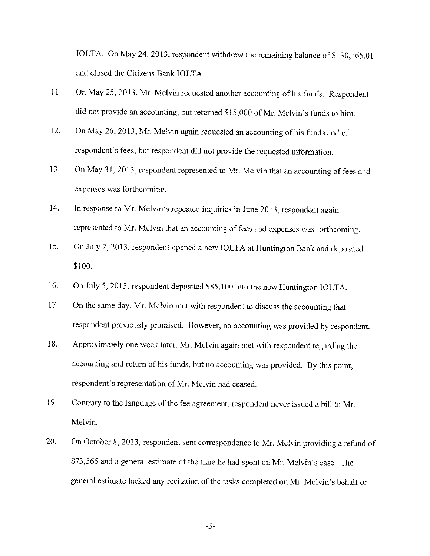IOLTA. On May 24, 2013, respondent withdrew the remaining balance of \$130,165.01 and closed the Citizens Bank IOLTA.

- 11. On May 25, 2013, Mr. Melvin requested another accounting of his funds. Respondent did not provide an accounting, but returned \$15,000 of Mr. Melvin's funds to him.
- 12. On May 26, 2013, Mr. Melvin again requested an accounting of his funds and of respondent's fees, but respondent did not provide the requested information.
- 13. On May 31, 2013, respondent represented to Mr. Melvin that an accounting of fees and expenses was forthcoming.
- 14. In response to Mr. Melvin's repeated inquiries in June 2013, respondent again represented to Mr. Melvin that an accounting of fees and expenses was forthcoming.
- 15. On July 2, 2013, respondent opened a new IOLTA at Huntington Bank and deposited \$100.
- 16. On July 5, 2013, respondent deposited \$85,100 into the new Huntington IOLTA.
- 17. On the same day, Mr. Melvin met with respondent to discuss the accounting that respondent previously promised. However, no accounting was provided by respondent.
- 18. Approximately one week later, Mr. Melvin again met with respondent regarding the accounting and return of his funds, but no accounting was provided. By this point, respondent's representation of Mr. Melvin had ceased.
- 19. Contrary to the language of the fee agreement, respondent never issued a bill to Mr. Melvin.
- 20. On October 8, 2013, respondent sent correspondence to Mr. Melvin providing a refund of \$73,565 and a general estimate of the time he had spent on Mr. Melvin's case. The general estimate lacked any recitation of the tasks completed on Mr. Melvin's behalf or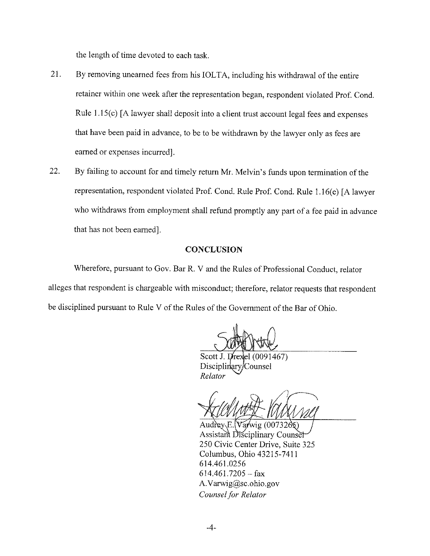the length of time devoted to each task.

- 21. By removing unearned fees from his IOLTA, including his withdrawal of the entire retainer within one week after the representation began, respondent violated Prof. Cond. Rule  $1.15(c)$  [A lawyer shall deposit into a client trust account legal fees and expenses that have been paid in advance, to be to be withdrawn by the lawyer only as fees are earned or expenses incurred].
- 22. By failing to account for and timely return Mr. Melvin's funds upon termination of the representation, respondent violated Prof. Cond. Rule Prof. Cond. Rule 1.16(e) [A lawyer who withdraws from employment shall refund promptly any part of a fee paid in advance that has not been earned).

# **CONCLUSION**

Wherefore, pursuant to Gov. Bar R. V and the Rules of Professional Conduct, relator alleges that respondent is chargeable with misconduct; therefore, relator requests that respondent be disciplined pursuant to Rule V of the Rules of the Government of the Bar of Ohio.

Scott J. Drexel (0091467) Disciplinary/Counsel Relator

Audrey E.  $Varwig(007326s)$ Assistant Disciplinary Counset 250 Civic Center Drive, Suite 325 Columbus, Ohio 43215-7411 614.461.0256  $614.461.7205 - fax$ A.Varwig@sc.ohio.gov *Counsel for Relator*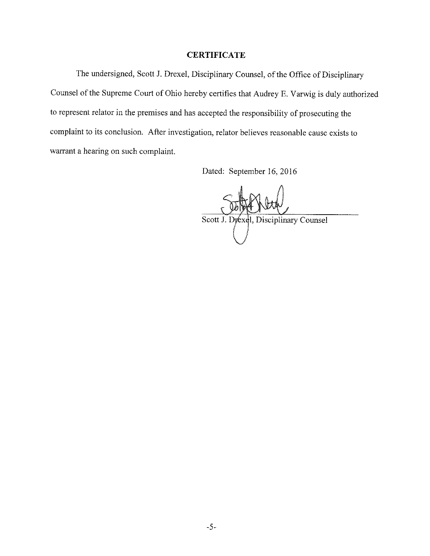#### **CERTIFICATE**

The undersigned, Scott J. Drexel, Disciplinary Counsel, of the Office of Disciplinary Counsel of the Supreme Court of Ohio hereby certifies that Audrey E. V arwig is duly authorized to represent relator in the premises and has accepted the responsibility of prosecuting the complaint to its conclusion. After investigation, relator believes reasonable cause exists to warrant a hearing on such complaint.

Dated: September 16, 2016

Scott J. Drexel, Disciplinary Counsel